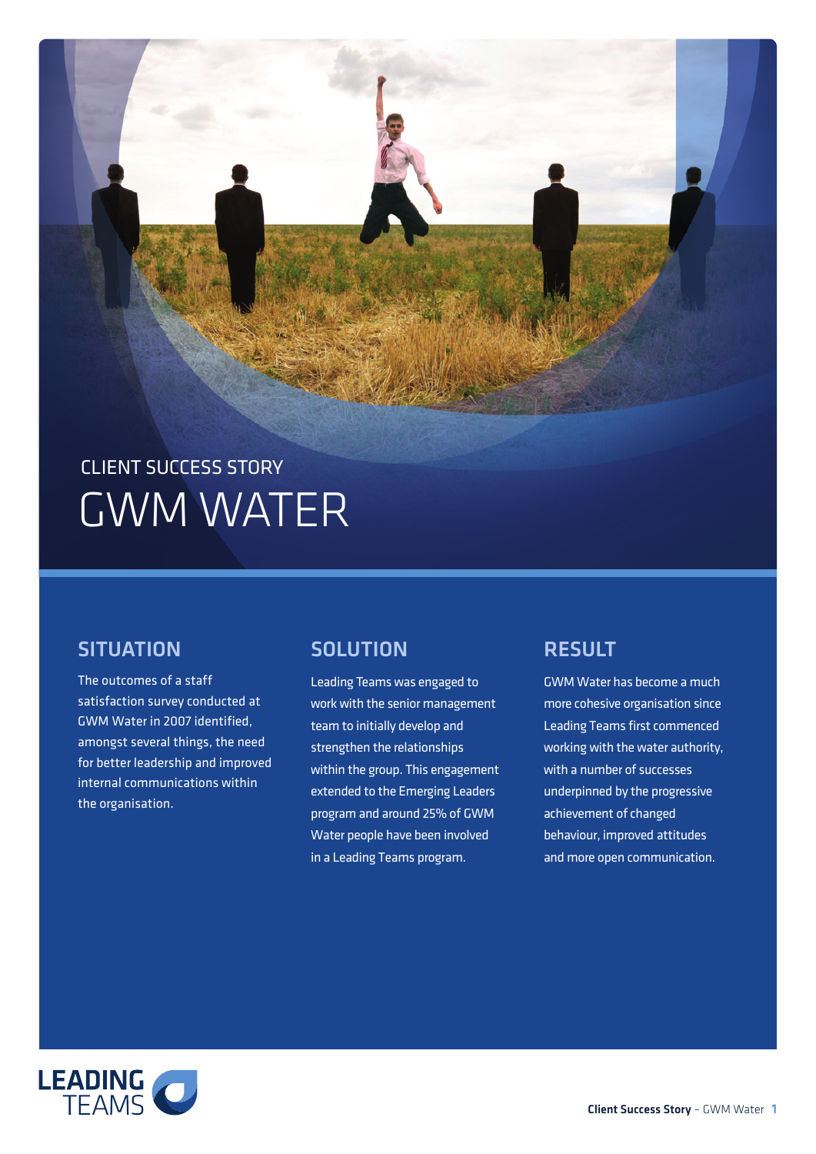# CLIENT SUCCESS STORY GWM WATER

### **SITUATION**

The outcomes of a staff satisfaction survey conducted at GWM Water in 2007 identified, amongst several things, the need for better leadership and improved internal communications within the organisation.

# **SOLUTION**

Leading Teams was engaged to work with the senior management team to initially develop and strengthen the relationships within the group. This engagement extended to the Emerging Leaders program and around 25% of GWM Water people have been involved in a Leading Teams program.

# **RESULT**

GWM Water has become a much more cohesive organisation since Leading Teams first commenced working with the water authority, with a number of successes underpinned by the progressive achievement of changed behaviour, improved attitudes and more open communication.

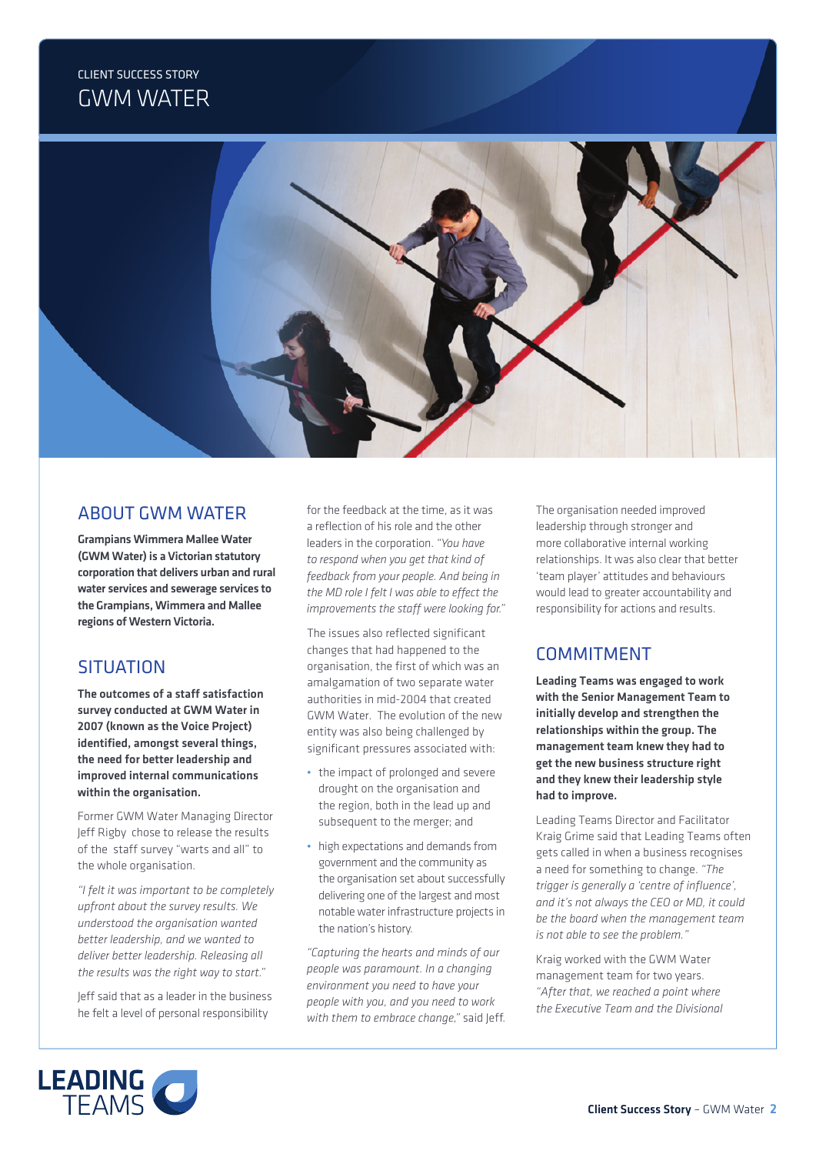## CLIENT SUCCESS STORY GWM WATER



#### ABOUT GWM WATER

Grampians Wimmera Mallee Water (GWM Water) is a Victorian statutory corporation that delivers urban and rural water services and sewerage services to the Grampians, Wimmera and Mallee regions of Western Victoria.

## **SITUATION**

The outcomes of a staff satisfaction survey conducted at GWM Water in 2007 (known as the Voice Project) identified, amongst several things, the need for better leadership and improved internal communications within the organisation.

Former GWM Water Managing Director Jeff Rigby chose to release the results of the staff survey "warts and all" to the whole organisation.

*"I felt it was important to be completely upfront about the survey results. We understood the organisation wanted better leadership, and we wanted to deliver better leadership. Releasing all the results was the right way to start."*

Jeff said that as a leader in the business he felt a level of personal responsibility

for the feedback at the time, as it was a reflection of his role and the other leaders in the corporation. *"You have to respond when you get that kind of feedback from your people. And being in the MD role I felt I was able to effect the improvements the staff were looking for."*

The issues also reflected significant changes that had happened to the organisation, the first of which was an amalgamation of two separate water authorities in mid-2004 that created GWM Water. The evolution of the new entity was also being challenged by significant pressures associated with:

- the impact of prolonged and severe drought on the organisation and the region, both in the lead up and subsequent to the merger; and
- high expectations and demands from government and the community as the organisation set about successfully delivering one of the largest and most notable water infrastructure projects in the nation's history.

*"Capturing the hearts and minds of our people was paramount. In a changing environment you need to have your people with you, and you need to work with them to embrace change,"* said Jeff. The organisation needed improved leadership through stronger and more collaborative internal working relationships. It was also clear that better 'team player' attitudes and behaviours would lead to greater accountability and responsibility for actions and results.

## **COMMITMENT**

Leading Teams was engaged to work with the Senior Management Team to initially develop and strengthen the relationships within the group. The management team knew they had to get the new business structure right and they knew their leadership style had to improve.

Leading Teams Director and Facilitator Kraig Grime said that Leading Teams often gets called in when a business recognises a need for something to change. *"The trigger is generally a 'centre of influence', and it's not always the CEO or MD, it could be the board when the management team is not able to see the problem."*

Kraig worked with the GWM Water management team for two years. *"After that, we reached a point where the Executive Team and the Divisional*